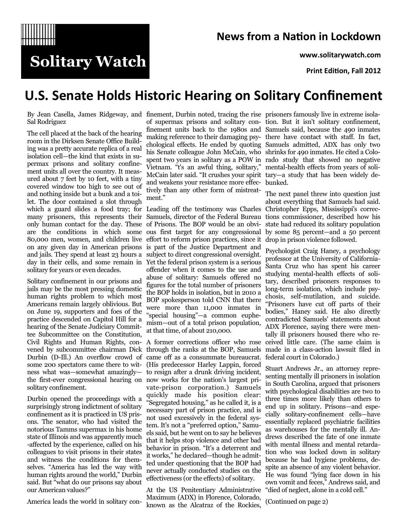

### **News from a Nation in Lockdown**

**www.solitarywatch.com**

**Print Edition, Fall 2012**

## **U.S. Senate Holds Historic Hearing on Solitary Confinement**

Sal Rodriguez

**Solitary Watch** 

The cell placed at the back of the hearing room in the Dirksen Senate Office Building was a pretty accurate replica of a real isolation cell—the kind that exists in supermax prisons and solitary confinement units all over the country. It measured about 7 feet by 10 feet, with a tiny covered window too high to see out of and nothing inside but a bunk and a toilet. The door contained a slot through which a guard slides a food tray; for many prisoners, this represents their only human contact for the day. These are the conditions in which some 80,000 men, women, and children live on any given day in American prisons is part of the Justice Department and and jails. They spend at least 23 hours a subject to direct congressional oversight. day in their cells, and some remain in Yet the federal prison system is a serious solitary for years or even decades.

Solitary confinement in our prisons and jails may be the most pressing domestic human rights problem to which most Americans remain largely oblivious. But on June 19, supporters and foes of the practice descended on Capitol Hill for a hearing of the Senate Judiciary Committee Subcommittee on the Constitution, Civil Rights and Human Rights, con-A former corrections officer who rose vened by subcommittee chairman Dick Durbin (D-Ill.) An overflow crowd of some 200 spectators came there to witness what was—somewhat amazingly the first-ever congressional hearing on solitary confinement.

Durbin opened the proceedings with a surprisingly strong indictment of solitary confinement as it is practiced in US prisons. The senator, who had visited the notorious Tamms supermax in his home state of Illinois and was apparently much -affected by the experience, called on his colleagues to visit prisons in their states and witness the conditions for themselves. "America has led the way with human rights around the world," Durbin said. But "what do our prisons say about our American values?"

America leads the world in solitary con-

By Jean Casella, James Ridgeway, and finement, Durbin noted, tracing the rise prisoners famously live in extreme isolahis Senate colleague John McCain, who shrinks for 490 inmates. He cited a Colo-Vietnam. "t's an awful thing, solitary," mental-health effects from years of soli-McCain later said. "It crushes your spirit tary—a study that has been widely deand weakens your resistance more effec-bunked. tively than any other form of mistreatment."

> Leading off the testimony was Charles of Prisons. The BOP would be an obvious first target for any congressional effort to reform prison practices, since it offender when it comes to the use and abuse of solitary: Samuels offered no figures for the total number of prisoners the BOP holds in isolation, but in 2010 a BOP spokesperson told CNN that there were more than 11,000 inmates in "special housing"—a common euphemism—out of a total prison population, at that time, of about 210,000.

> through the ranks at the BOP, Samuels came off as a consummate bureaucrat. (His predecessor Harley Lappin, forced to resign after a drunk driving incident, now works for the nation's largest private-prison corporation.) Samuels quickly made his position clear: "Segregated housing," as he called it, is a necessary part of prison practice, and is not used excessively in the federal system. It's not a "preferred option," Samuels said, but he went on to say he believes that it helps stop violence and other bad behavior in prison. "It's a deterrent and it works," he declared—though he admitted under questioning that the BOP had never actually conducted studies on the effectiveness (or the effects) of solitary.

At the US Penitentiary Administrative Maximum (ADX) in Florence, Colorado, known as the Alcatraz of the Rockies,

of supermax prisons and solitary con-tion. But it isn't solitary confinement, finement units back to the 1980s and Samuels said, because the 490 inmates making reference to their damaging psy-there have contact with staff. In fact, chological effects. He ended by quoting Samuels admitted, ADX has only two spent two years in solitary as a POW in rado study that showed no negative

Samuels, director of the Federal Bureau tions commissioner, described how his The next panel threw into question just about everything that Samuels had said. Christopher Epps, Mississippi's correcstate had reduced its solitary population by some 85 percent—and a 50 percent drop in prison violence followed.

> Psychologist Craig Haney, a psychology professor at the University of California-Santa Cruz who has spent his career studying mental-health effects of solitary, described prisoners responses to long-term isolation, which include psychosis, self-mutilation, and suicide. "Prisoners have cut off parts of their bodies," Haney said. He also directly contradicted Samuels' statements about ADX Florence, saying there were mentally ill prisoners housed there who received little care. (The same claim is made in a class-action lawsuit filed in federal court in Colorado.)

> Stuart Andrews Jr., an attorney representing mentally ill prisoners in isolation in South Carolina, argued that prisoners with psychological disabilities are two to three times more likely than others to end up in solitary. Prisons—and especially solitary-confinement cells—have essentially replaced psychiatric facilities as warehouses for the mentally ill. Andrews described the fate of one inmate with mental illness and mental retardation who was locked down in solitary because he had hygiene problems, despite an absence of any violent behavior. He was found "lying face down in his own vomit and feces," Andrews said, and "died of neglect, alone in a cold cell."

(Continued on page 2)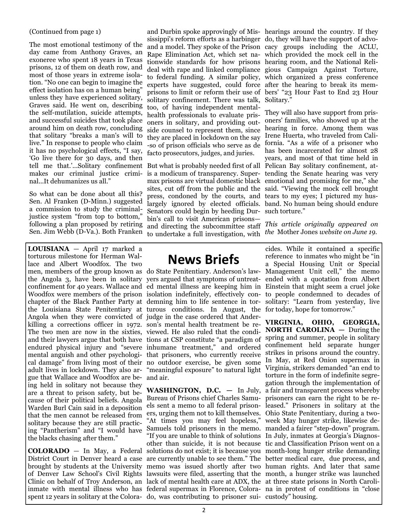#### (Continued from page 1)

The most emotional testimony of the day came from Anthony Graves, an exoneree who spent 18 years in Texas prisons, 12 of them on death row, and most of those years in extreme isolation. "No one can begin to imagine the effect isolation has on a human being" unless they have experienced solitary, Graves said. He went on, describing the self-mutilation, suicide attempts, and successful suicides that took place around him on death row, concluding that solitary "breaks a man's will to live." In response to people who claim it has no psychological effects, "I say, 'Go live there for 30 days, and then tell me that.'...Solitary confinement But what is probably needed first of all Pelican Bay solitary confinement, atmakes our criminal justice criminal...It dehumanizes us all."

So what can be done about all this? Sen. Al Franken (D-Minn.) suggested a commission to study the criminaljustice system "from top to bottom," following a plan proposed by retiring Sen. Jim Webb (D-Va.). Both Franken

**LOUISIANA** — April 17 marked a torturous milestone for Herman Wallace and Albert Woodfox. The two men, members of the group known as do State Penitentiary. Anderson's law-Management Unit cell," the memo the Angola 3, have been in solitary yers argued that symptoms of untreatconfinement for 40 years. Wallace and ed mental illness are keeping him in Einstein that might seem a cruel joke Woodfox were members of the prison isolation indefinitely, effectively con-to people condemned to decades of chapter of the Black Panther Party at demning him to life sentence in tor-solitary: "Learn from yesterday, live the Louisiana State Penitentiary at turous conditions. In August, the for today, hope for tomorrow." Angola when they were convicted of judge in the case ordered that Anderkilling a corrections officer in 1972. son's mental health treatment be re-The two men are now in the sixties, viewed. He also ruled that the condiand their lawyers argue that both have tions at CSP constitute "a paradigm of endured physical injury and "severe inhumane treatment," and ordered mental anguish and other psychologi-that prisoners, who currently receive cal damage" from living most of their no outdoor exercise, be given some In May, at Red Onion supermax in adult lives in lockdown. They also ar-"meaningful exposure" to natural light gue that Wallace and Woodfox are being held in solitary not because they are a threat to prison safety, but because of their political beliefs. Angola Warden Burl Cain said in a deposition that the men cannot be released from solitary because they are still practicing "Pantherism" and "I would have the blacks chasing after them."

**COLORADO** — In May, a Federal District Court in Denver heard a case are currently unable to see them." The better medical care, due process, and brought by students at the University of Denver Law School's Civil Rights lawsuits were filed, asserting that the month, a hunger strike was launched Clinic on behalf of Troy Anderson, an lack of mental health care at ADX, the at three state prisons in North Caroliinmate with mental illness who has federal supermax in Florence, Colora-na in protest of conditions in "close

solitary confinement. There was talk, Solitary." too, of having independent mentalhealth professionals to evaluate prisoners in solitary, and providing outside counsel to represent them, since they are placed in lockdown on the say -so of prison officials who serve as de facto prosecutors, judges, and juries.

is a modicum of transparency. Super-tending the Senate hearing was very max prisons are virtual domestic black emotional and promising for me," she sites, cut off from the public and the said. "Viewing the mock cell brought press, condoned by the courts, and tears to my eyes; I pictured my huslargely ignored by elected officials. band. No human being should endure Senators could begin by heeding Dur-such torture." bin's call to visit American prisons and directing the subcommittee staff to undertake a full investigation, with

**News Briefs**

and air.

spent 12 years in solitary at the Colora- do, was contributing to prisoner sui- custody" housing. Bureau of Prisons chief Charles Samu-prisoners can earn the right to be reers, urging them not to kill themselves. Ohio State Penitentiary, during a two-"At times you may feel hopeless," week May hunger strike, likewise de-"If you are unable to think of solutions In July, inmates at Georgia's Diagnos-

and Durbin spoke approvingly of Mis-hearings around the country. If they sissippi's reform efforts as a harbinger do, they will have the support of advoand a model. They spoke of the Prison cacy groups including the ACLU, Rape Elimination Act, which set na-which provided the mock cell in the tionwide standards for how prisons hearing room, and the National Relideal with rape and linked compliance gious Campaign Against Torture, to federal funding. A similar policy, which organized a press conference experts have suggested, could force after the hearing to break its memprisons to limit or reform their use of bers' "23 Hour Fast to End 23 Hour

> They will also have support from prisoners' families, who showed up at the hearing in force. Among them was Irene Huerta, who traveled from California. "As a wife of a prisoner who has been incarcerated for almost 28 years, and most of that time held in

*This article originally appeared on the* Mother Jones *website on June 19.*

cides. While it contained a specific reference to inmates who might be "in a Special Housing Unit or Special ended with a quotation from Albert

**WASHINGTON, D.C.** — In July, a fair and transparent process whereby els sent a memo to all federal prison-leased." Prisoners in solitary at the Samuels told prisoners in the memo. manded a fairer "step-down" program. other than suicide, it is not because tic and Classification Prison went on a solutions do not exist; it is because you month-long hunger strike demanding memo was issued shortly after two human rights. And later that same **VIRGINIA, OHIO, GEORGIA, NORTH CAROLINA —** During the spring and summer, people in solitary confinement held separate hunger strikes in prisons around the country. Virginia, strikers demanded "an end to torture in the form of indefinite segregation through the implementation of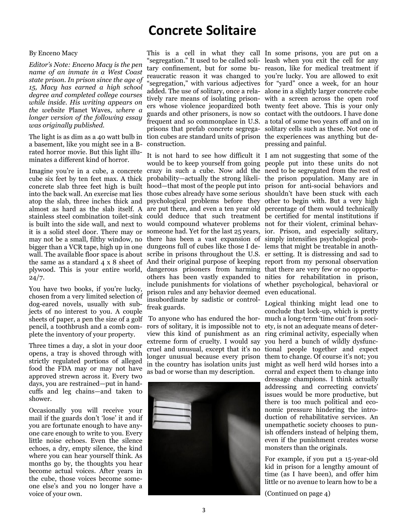# **Concrete Solitaire**

#### By Enceno Macy

*Editor's Note: Enceno Macy is the pen name of an inmate in a West Coast state prison. In prison since the age of 15, Macy has earned a high school degree and completed college courses while inside. His writing appears on the website* Planet Waves*, where a longer version of the following essay was originally published.* 

a basement, like you might see in a Brated horror movie. But this light illuminates a different kind of horror.

Imagine you're in a cube, a concrete crazy in such a cube. Now add the need to be segregated from the rest of cube six feet by ten feet max. A thick concrete slab three feet high is built into the back wall. An exercise mat lies atop the slab, three inches thick and psychological problems before they other to begin with. But a very high almost as hard as the slab itself. A are put there, and even a ten year old percentage of them would technically stainless steel combination toilet-sink could deduce that such treatment be certified for mental institutions if is built into the side wall, and next to would compound whatever problems not for their violent, criminal behavit is a solid steel door. There may or someone had. Yet for the last 25 years, ior. Prison, and especially solitary, may not be a small, filthy window, no there has been a vast expansion of simply intensifies psychological probbigger than a VCR tape, high up in one dungeons full of cubes like those I de-lems that might be treatable in anothwall. The available floor space is about scribe in prisons throughout the U.S. er setting. It is distressing and sad to the same as a standard 4 x 8 sheet of And their original purpose of keeping report from my personal observation plywood. This is your entire world, dangerous prisoners from harming that there are very few or no opportu- $24/7.$ 

You have two books, if you're lucky, chosen from a very limited selection of dog-eared novels, usually with subjects of no interest to you. A couple sheets of paper, a pen the size of a golf pencil, a toothbrush and a comb complete the inventory of your property.

Three times a day, a slot in your door opens, a tray is shoved through with strictly regulated portions of alleged food the FDA may or may not have approved strewn across it. Every two days, you are restrained—put in handcuffs and leg chains—and taken to shower.

Occasionally you will receive your mail if the guards don't 'lose' it and if you are fortunate enough to have anyone care enough to write to you. Every little noise echoes. Even the silence echoes, a dry, empty silence, the kind where you can hear yourself think. As months go by, the thoughts you hear become actual voices. After years in the cube, those voices become someone else's and you no longer have a voice of your own.

The light is as dim as a 40 watt bulb in tion cubes are standard units of prison the experiences was anything but de-This is a cell in what they call In some prisons, you are put on a "segregation." It used to be called soli-leash when you exit the cell for any tary confinement, but for some bu-reason, like for medical treatment if reaucratic reason it was changed to you're lucky. You are allowed to exit "segregation," with various adjectives for "yard" once a week, for an hour added. The use of solitary, once a rela-alone in a slightly larger concrete cube tively rare means of isolating prison-with a screen across the open roof ers whose violence jeopardized both twenty feet above. This is your only guards and other prisoners, is now so contact with the outdoors. I have done frequent and so commonplace in U.S. a total of some two years off and on in prisons that prefab concrete segrega-solitary cells such as these. Not one of construction.

> It is not hard to see how difficult it I am not suggesting that some of the would be to keep yourself from going people put into these units do not probability—actually the strong likeli-the prison population. Many are in hood—that most of the people put into prison for anti-social behaviors and those cubes already have some serious shouldn't have been stuck with each others has been vastly expanded to nities for rehabilitation in prison, include punishments for violations of whether psychological, behavioral or prison rules and any behavior deemed even educational. insubordinate by sadistic or controlfreak guards.

> To anyone who has endured the horrors of solitary, it is impossible not to view this kind of punishment as an extreme form of cruelty. I would say cruel and unusual, except that it's no tional people together and expect longer unusual because every prison them to change. Of course it's not; you in the country has isolation units just as bad or worse than my description.



pressing and painful.

Logical thinking might lead one to conclude that lock-up, which is pretty much a long-term 'time out' from society, is not an adequate means of deterring criminal activity, especially when you herd a bunch of wildly dysfuncmight as well herd wild horses into a corral and expect them to change into dressage champions. I think actually addressing and correcting convicts' issues would be more productive, but there is too much political and economic pressure hindering the introduction of rehabilitative services. An unempathetic society chooses to punish offenders instead of helping them, even if the punishment creates worse monsters than the originals.

For example, if you put a 15-year-old kid in prison for a lengthy amount of time (as I have been), and offer him little or no avenue to learn how to be a

(Continued on page 4)